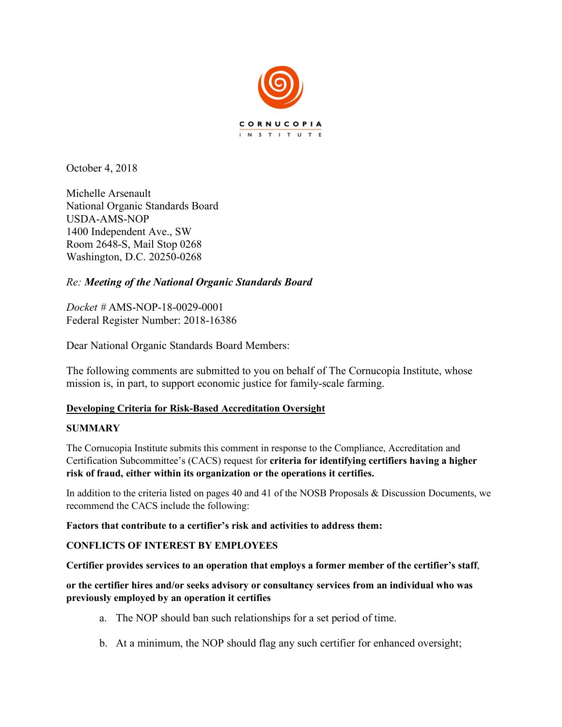

October 4, 2018

Michelle Arsenault National Organic Standards Board USDA-AMS-NOP 1400 Independent Ave., SW Room 2648-S, Mail Stop 0268 Washington, D.C. 20250-0268

# *Re: Meeting of the National Organic Standards Board*

*Docket #* AMS-NOP-18-0029-0001 Federal Register Number: 2018-16386

Dear National Organic Standards Board Members:

The following comments are submitted to you on behalf of The Cornucopia Institute, whose mission is, in part, to support economic justice for family-scale farming.

# **Developing Criteria for Risk-Based Accreditation Oversight**

#### **SUMMARY**

The Cornucopia Institute submits this comment in response to the Compliance, Accreditation and Certification Subcommittee's (CACS) request for **criteria for identifying certifiers having a higher risk of fraud, either within its organization or the operations it certifies.** 

In addition to the criteria listed on pages 40 and 41 of the NOSB Proposals & Discussion Documents, we recommend the CACS include the following:

**Factors that contribute to a certifier's risk and activities to address them:**

#### **CONFLICTS OF INTEREST BY EMPLOYEES**

**Certifier provides services to an operation that employs a former member of the certifier's staff**,

**or the certifier hires and/or seeks advisory or consultancy services from an individual who was previously employed by an operation it certifies**

- a. The NOP should ban such relationships for a set period of time.
- b. At a minimum, the NOP should flag any such certifier for enhanced oversight;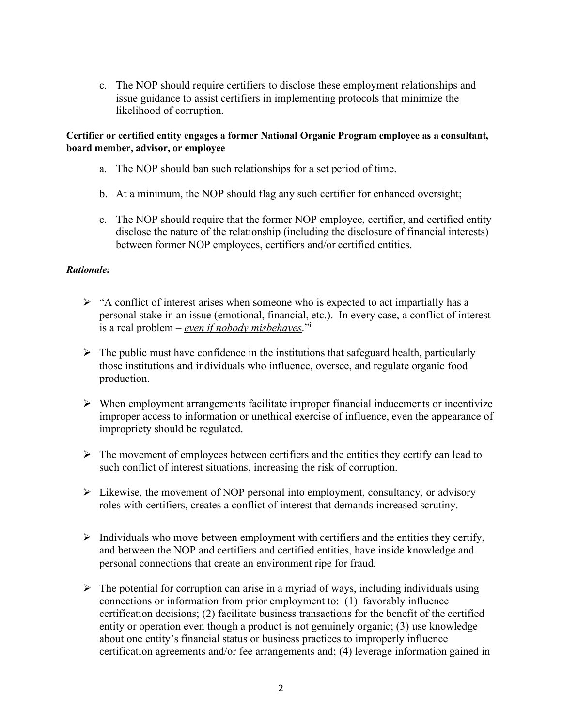c. The NOP should require certifiers to disclose these employment relationships and issue guidance to assist certifiers in implementing protocols that minimize the likelihood of corruption.

#### **Certifier or certified entity engages a former National Organic Program employee as a consultant, board member, advisor, or employee**

- a. The NOP should ban such relationships for a set period of time.
- b. At a minimum, the NOP should flag any such certifier for enhanced oversight;
- c. The NOP should require that the former NOP employee, certifier, and certified entity disclose the nature of the relationship (including the disclosure of financial interests) between former NOP employees, certifiers and/or certified entities.

#### *Rationale:*

- $\triangleright$  "A conflict of interest arises when someone who is expected to act impartially has a personal stake in an issue (emotional, financial, etc.). In every case, a conflict of interest is a real problem – *even if nobody misbehaves*."i
- $\triangleright$  The public must have confidence in the institutions that safeguard health, particularly those institutions and individuals who influence, oversee, and regulate organic food production.
- $\triangleright$  When employment arrangements facilitate improper financial inducements or incentivize improper access to information or unethical exercise of influence, even the appearance of impropriety should be regulated.
- $\triangleright$  The movement of employees between certifiers and the entities they certify can lead to such conflict of interest situations, increasing the risk of corruption.
- $\triangleright$  Likewise, the movement of NOP personal into employment, consultancy, or advisory roles with certifiers, creates a conflict of interest that demands increased scrutiny.
- $\triangleright$  Individuals who move between employment with certifiers and the entities they certify, and between the NOP and certifiers and certified entities, have inside knowledge and personal connections that create an environment ripe for fraud.
- $\triangleright$  The potential for corruption can arise in a myriad of ways, including individuals using connections or information from prior employment to: (1) favorably influence certification decisions; (2) facilitate business transactions for the benefit of the certified entity or operation even though a product is not genuinely organic; (3) use knowledge about one entity's financial status or business practices to improperly influence certification agreements and/or fee arrangements and; (4) leverage information gained in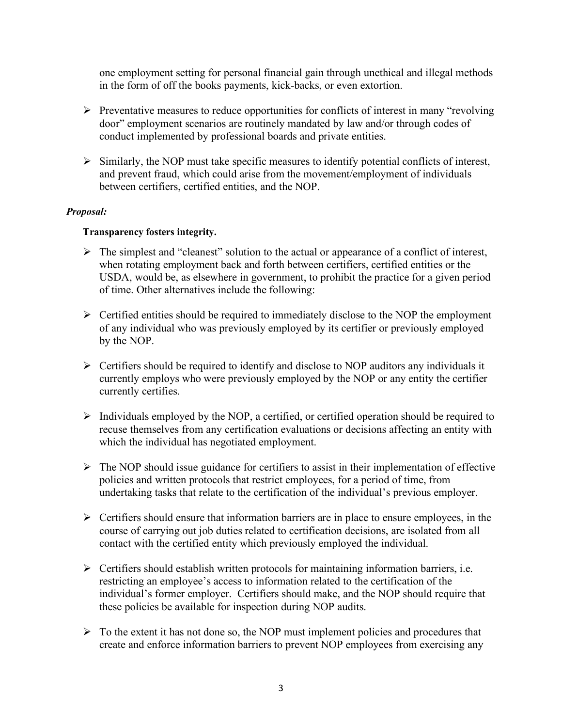one employment setting for personal financial gain through unethical and illegal methods in the form of off the books payments, kick-backs, or even extortion.

- $\triangleright$  Preventative measures to reduce opportunities for conflicts of interest in many "revolving" door" employment scenarios are routinely mandated by law and/or through codes of conduct implemented by professional boards and private entities.
- $\triangleright$  Similarly, the NOP must take specific measures to identify potential conflicts of interest, and prevent fraud, which could arise from the movement/employment of individuals between certifiers, certified entities, and the NOP.

#### *Proposal:*

### **Transparency fosters integrity.**

- $\triangleright$  The simplest and "cleanest" solution to the actual or appearance of a conflict of interest, when rotating employment back and forth between certifiers, certified entities or the USDA, would be, as elsewhere in government, to prohibit the practice for a given period of time. Other alternatives include the following:
- $\triangleright$  Certified entities should be required to immediately disclose to the NOP the employment of any individual who was previously employed by its certifier or previously employed by the NOP.
- $\triangleright$  Certifiers should be required to identify and disclose to NOP auditors any individuals it currently employs who were previously employed by the NOP or any entity the certifier currently certifies.
- $\triangleright$  Individuals employed by the NOP, a certified, or certified operation should be required to recuse themselves from any certification evaluations or decisions affecting an entity with which the individual has negotiated employment.
- $\triangleright$  The NOP should issue guidance for certifiers to assist in their implementation of effective policies and written protocols that restrict employees, for a period of time, from undertaking tasks that relate to the certification of the individual's previous employer.
- $\triangleright$  Certifiers should ensure that information barriers are in place to ensure employees, in the course of carrying out job duties related to certification decisions, are isolated from all contact with the certified entity which previously employed the individual.
- $\triangleright$  Certifiers should establish written protocols for maintaining information barriers, i.e. restricting an employee's access to information related to the certification of the individual's former employer. Certifiers should make, and the NOP should require that these policies be available for inspection during NOP audits.
- $\triangleright$  To the extent it has not done so, the NOP must implement policies and procedures that create and enforce information barriers to prevent NOP employees from exercising any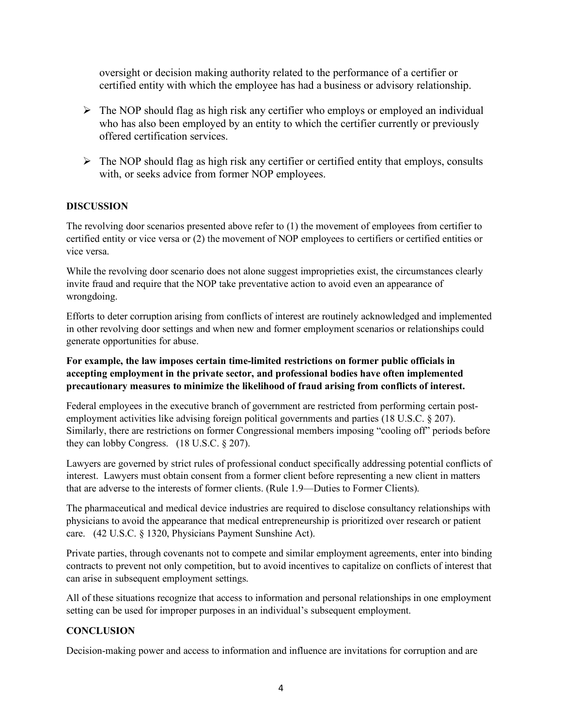oversight or decision making authority related to the performance of a certifier or certified entity with which the employee has had a business or advisory relationship.

- $\triangleright$  The NOP should flag as high risk any certifier who employs or employed an individual who has also been employed by an entity to which the certifier currently or previously offered certification services.
- $\triangleright$  The NOP should flag as high risk any certifier or certified entity that employs, consults with, or seeks advice from former NOP employees.

#### **DISCUSSION**

The revolving door scenarios presented above refer to (1) the movement of employees from certifier to certified entity or vice versa or (2) the movement of NOP employees to certifiers or certified entities or vice versa.

While the revolving door scenario does not alone suggest improprieties exist, the circumstances clearly invite fraud and require that the NOP take preventative action to avoid even an appearance of wrongdoing.

Efforts to deter corruption arising from conflicts of interest are routinely acknowledged and implemented in other revolving door settings and when new and former employment scenarios or relationships could generate opportunities for abuse.

### **For example, the law imposes certain time-limited restrictions on former public officials in accepting employment in the private sector, and professional bodies have often implemented precautionary measures to minimize the likelihood of fraud arising from conflicts of interest.**

Federal employees in the executive branch of government are restricted from performing certain postemployment activities like advising foreign political governments and parties (18 U.S.C. § 207). Similarly, there are restrictions on former Congressional members imposing "cooling off" periods before they can lobby Congress. (18 U.S.C. § 207).

Lawyers are governed by strict rules of professional conduct specifically addressing potential conflicts of interest. Lawyers must obtain consent from a former client before representing a new client in matters that are adverse to the interests of former clients. (Rule 1.9—Duties to Former Clients).

The pharmaceutical and medical device industries are required to disclose consultancy relationships with physicians to avoid the appearance that medical entrepreneurship is prioritized over research or patient care. (42 U.S.C. § 1320, Physicians Payment Sunshine Act).

Private parties, through covenants not to compete and similar employment agreements, enter into binding contracts to prevent not only competition, but to avoid incentives to capitalize on conflicts of interest that can arise in subsequent employment settings.

All of these situations recognize that access to information and personal relationships in one employment setting can be used for improper purposes in an individual's subsequent employment.

#### **CONCLUSION**

Decision-making power and access to information and influence are invitations for corruption and are